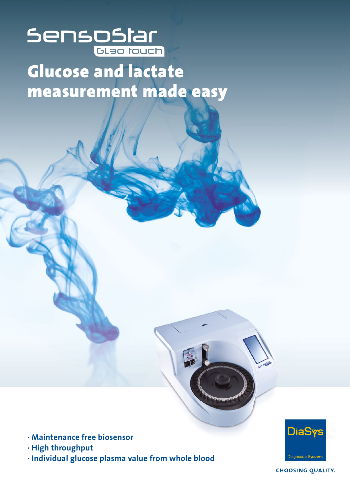## **SenspStar**

## Glucose and lactate measurement made easy

- **· Maintenance free biosensor**
- **· High throughput**
- **· Individual glucose plasma value from whole blood**



**CHOOSING QUALITY.**